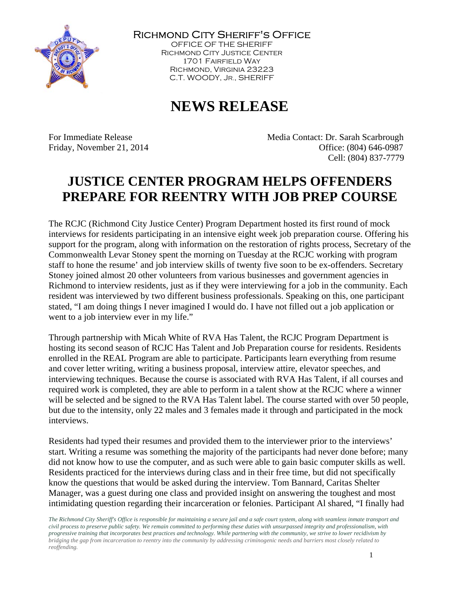

Richmond City Sheriff's Office

OFFICE OF THE SHERIFF Richmond City Justice Center 1701 Fairfield Way Richmond, Virginia 23223 C.T. WOODY, JR., SHERIFF

## **NEWS RELEASE**

For Immediate Release **Media Contact: Dr. Sarah Scarbrough** Friday, November 21, 2014 Channel Control Control Control Control Control Office: (804) 646-0987 Cell: (804) 837-7779

## **JUSTICE CENTER PROGRAM HELPS OFFENDERS PREPARE FOR REENTRY WITH JOB PREP COURSE**

The RCJC (Richmond City Justice Center) Program Department hosted its first round of mock interviews for residents participating in an intensive eight week job preparation course. Offering his support for the program, along with information on the restoration of rights process, Secretary of the Commonwealth Levar Stoney spent the morning on Tuesday at the RCJC working with program staff to hone the resume' and job interview skills of twenty five soon to be ex-offenders. Secretary Stoney joined almost 20 other volunteers from various businesses and government agencies in Richmond to interview residents, just as if they were interviewing for a job in the community. Each resident was interviewed by two different business professionals. Speaking on this, one participant stated, "I am doing things I never imagined I would do. I have not filled out a job application or went to a job interview ever in my life."

Through partnership with Micah White of RVA Has Talent, the RCJC Program Department is hosting its second season of RCJC Has Talent and Job Preparation course for residents. Residents enrolled in the REAL Program are able to participate. Participants learn everything from resume and cover letter writing, writing a business proposal, interview attire, elevator speeches, and interviewing techniques. Because the course is associated with RVA Has Talent, if all courses and required work is completed, they are able to perform in a talent show at the RCJC where a winner will be selected and be signed to the RVA Has Talent label. The course started with over 50 people, but due to the intensity, only 22 males and 3 females made it through and participated in the mock interviews.

Residents had typed their resumes and provided them to the interviewer prior to the interviews' start. Writing a resume was something the majority of the participants had never done before; many did not know how to use the computer, and as such were able to gain basic computer skills as well. Residents practiced for the interviews during class and in their free time, but did not specifically know the questions that would be asked during the interview. Tom Bannard, Caritas Shelter Manager, was a guest during one class and provided insight on answering the toughest and most intimidating question regarding their incarceration or felonies. Participant Al shared, "I finally had

*The Richmond City Sheriff's Office is responsible for maintaining a secure jail and a safe court system, along with seamless inmate transport and civil process to preserve public safety. We remain committed to performing these duties with unsurpassed integrity and professionalism, with progressive training that incorporates best practices and technology. While partnering with the community, we strive to lower recidivism by bridging the gap from incarceration to reentry into the community by addressing criminogenic needs and barriers most closely related to reoffending.*